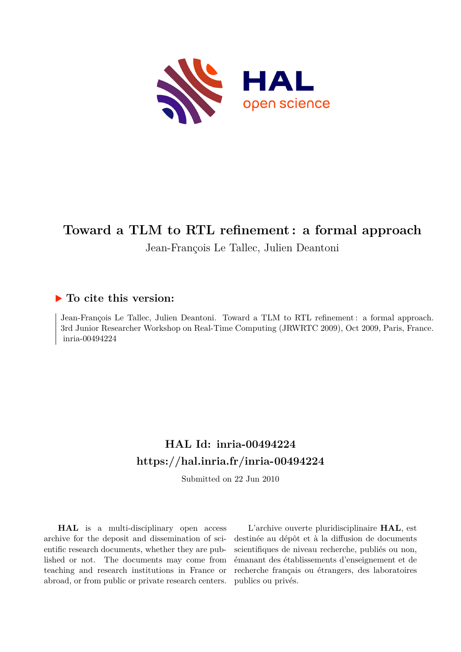

# **Toward a TLM to RTL refinement : a formal approach**

Jean-François Le Tallec, Julien Deantoni

## **To cite this version:**

Jean-François Le Tallec, Julien Deantoni. Toward a TLM to RTL refinement : a formal approach. 3rd Junior Researcher Workshop on Real-Time Computing (JRWRTC 2009), Oct 2009, Paris, France. inria-00494224

## **HAL Id: inria-00494224 <https://hal.inria.fr/inria-00494224>**

Submitted on 22 Jun 2010

**HAL** is a multi-disciplinary open access archive for the deposit and dissemination of scientific research documents, whether they are published or not. The documents may come from teaching and research institutions in France or abroad, or from public or private research centers.

L'archive ouverte pluridisciplinaire **HAL**, est destinée au dépôt et à la diffusion de documents scientifiques de niveau recherche, publiés ou non, émanant des établissements d'enseignement et de recherche français ou étrangers, des laboratoires publics ou privés.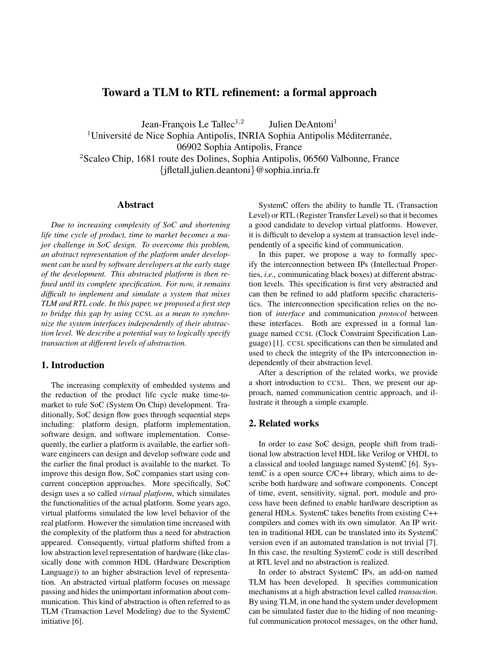### Toward a TLM to RTL refinement: a formal approach

Jean-François Le Tallec<sup>1,2</sup> Julien DeAntoni<sup>1</sup>

 $1$ Université de Nice Sophia Antipolis, INRIA Sophia Antipolis Méditerranée,

06902 Sophia Antipolis, France

<sup>2</sup>Scaleo Chip, 1681 route des Dolines, Sophia Antipolis, 06560 Valbonne, France {jfletall,julien.deantoni}@sophia.inria.fr

#### Abstract

*Due to increasing complexity of SoC and shortening life time cycle of product, time to market becomes a major challenge in SoC design. To overcome this problem, an abstract representation of the platform under development can be used by software developers at the early stage of the development. This abstracted platform is then refined until its complete specification. For now, it remains difficult to implement and simulate a system that mixes TLM and RTL code. In this paper, we proposed a first step to bridge this gap by using* CCSL *as a mean to synchronize the system interfaces independently of their abstraction level. We describe a potential way to logically specify transaction at different levels of abstraction.*

#### 1. Introduction

The increasing complexity of embedded systems and the reduction of the product life cycle make time-tomarket to rule SoC (System On Chip) development. Traditionally, SoC design flow goes through sequential steps including: platform design, platform implementation, software design, and software implementation. Consequently, the earlier a platform is available, the earlier software engineers can design and develop software code and the earlier the final product is available to the market. To improve this design flow, SoC companies start using concurrent conception approaches. More specifically, SoC design uses a so called *virtual platform*, which simulates the functionalities of the actual platform. Some years ago, virtual platforms simulated the low level behavior of the real platform. However the simulation time increased with the complexity of the platform thus a need for abstraction appeared. Consequently, virtual platform shifted from a low abstraction level representation of hardware (like classically done with common HDL (Hardware Description Language)) to an higher abstraction level of representation. An abstracted virtual platform focuses on message passing and hides the unimportant information about communication. This kind of abstraction is often referred to as TLM (Transaction Level Modeling) due to the SystemC initiative [6].

SystemC offers the ability to handle TL (Transaction Level) or RTL (Register Transfer Level) so that it becomes a good candidate to develop virtual platforms. However, it is difficult to develop a system at transaction level independently of a specific kind of communication.

In this paper, we propose a way to formally specify the interconnection between IPs (Intellectual Properties, *i.e.,* communicating black boxes) at different abstraction levels. This specification is first very abstracted and can then be refined to add platform specific characteristics. The interconnection specification relies on the notion of *interface* and communication *protocol* between these interfaces. Both are expressed in a formal language named CCSL (Clock Constraint Specification Language) [1]. CCSL specifications can then be simulated and used to check the integrity of the IPs interconnection independently of their abstraction level.

After a description of the related works, we provide a short introduction to CCSL. Then, we present our approach, named communication centric approach, and illustrate it through a simple example.

#### 2. Related works

In order to ease SoC design, people shift from traditional low abstraction level HDL like Verilog or VHDL to a classical and tooled language named SystemC [6]. SystemC is a open source C/C++ library, which aims to describe both hardware and software components. Concept of time, event, sensitivity, signal, port, module and process have been defined to enable hardware description as general HDLs. SystemC takes benefits from existing C++ compilers and comes with its own simulator. An IP written in traditional HDL can be translated into its SystemC version even if an automated translation is not trivial [7]. In this case, the resulting SystemC code is still described at RTL level and no abstraction is realized.

In order to abstract SystemC IPs, an add-on named TLM has been developed. It specifies communication mechanisms at a high abstraction level called *transaction*. By using TLM, in one hand the system under development can be simulated faster due to the hiding of non meaningful communication protocol messages, on the other hand,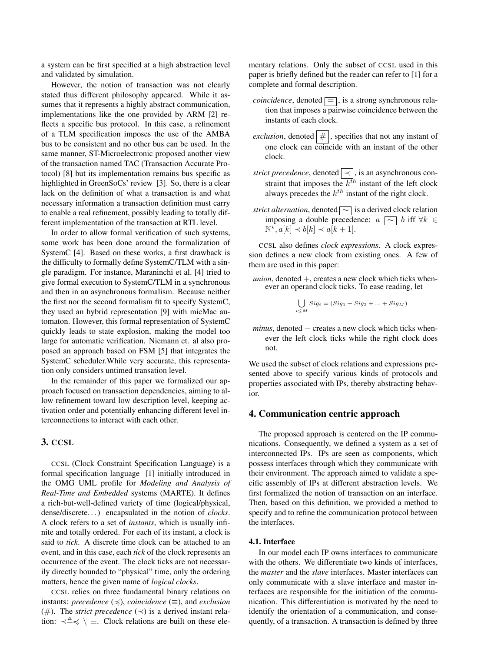a system can be first specified at a high abstraction level and validated by simulation.

However, the notion of transaction was not clearly stated thus different philosophy appeared. While it assumes that it represents a highly abstract communication, implementations like the one provided by ARM [2] reflects a specific bus protocol. In this case, a refinement of a TLM specification imposes the use of the AMBA bus to be consistent and no other bus can be used. In the same manner, ST-Microelectronic proposed another view of the transaction named TAC (Transaction Accurate Protocol) [8] but its implementation remains bus specific as highlighted in GreenSoCs' review [3]. So, there is a clear lack on the definition of what a transaction is and what necessary information a transaction definition must carry to enable a real refinement, possibly leading to totally different implementation of the transaction at RTL level.

In order to allow formal verification of such systems, some work has been done around the formalization of SystemC [4]. Based on these works, a first drawback is the difficulty to formally define SystemC/TLM with a single paradigm. For instance, Maraninchi et al. [4] tried to give formal execution to SystemC/TLM in a synchronous and then in an asynchronous formalism. Because neither the first nor the second formalism fit to specify SystemC, they used an hybrid representation [9] with micMac automaton. However, this formal representation of SystemC quickly leads to state explosion, making the model too large for automatic verification. Niemann et. al also proposed an approach based on FSM [5] that integrates the SystemC scheduler.While very accurate, this representation only considers untimed transation level.

In the remainder of this paper we formalized our approach focused on transaction dependencies, aiming to allow refinement toward low description level, keeping activation order and potentially enhancing different level interconnections to interact with each other.

#### 3. CCSL

CCSL (Clock Constraint Specification Language) is a formal specification language [1] initially introduced in the OMG UML profile for *Modeling and Analysis of Real-Time and Embedded* systems (MARTE). It defines a rich-but-well-defined variety of time (logical/physical, dense/discrete. . . ) encapsulated in the notion of *clocks*. A clock refers to a set of *instants*, which is usually infinite and totally ordered. For each of its instant, a clock is said to *tick*. A discrete time clock can be attached to an event, and in this case, each *tick* of the clock represents an occurrence of the event. The clock ticks are not necessarily directly bounded to "physical" time, only the ordering matters, hence the given name of *logical clocks*.

CCSL relies on three fundamental binary relations on instants: *precedence*  $(\preccurlyeq)$ , *coincidence*  $(\equiv)$ , and *exclusion* ( $#$ ). The *strict precedence* ( $\prec$ ) is a derived instant relation:  $\prec \triangleq \prec \setminus \equiv$ . Clock relations are built on these elementary relations. Only the subset of CCSL used in this paper is briefly defined but the reader can refer to [1] for a complete and formal description.

- *coincidence*, denoted  $\equiv$ , is a strong synchronous relation that imposes a pairwise coincidence between the instants of each clock.
- *exclusion*, denoted  $| \# |$ , specifies that not any instant of one clock can coincide with an instant of the other clock.
- *strict precedence*, denoted  $\vert \prec \vert$ , is an asynchronous constraint that imposes the  $k^{th}$  instant of the left clock always precedes the  $k^{th}$  instant of the right clock.
- *strict alternation*, denoted  $\boxed{\sim}$  is a derived clock relation imposing a double precedence:  $a \sim b$  iff  $\forall k \in$  $\mathbb{N}^{\star}, a[k] \prec b[k] \prec a[k+1].$

CCSL also defines *clock expressions*. A clock expression defines a new clock from existing ones. A few of them are used in this paper:

*union*, denoted +, creates a new clock which ticks whenever an operand clock ticks. To ease reading, let

$$
\bigcup_{i \le M} Sig_i = (Sig_1 + Sig_2 + \dots + Sig_M)
$$

*minus*, denoted – creates a new clock which ticks whenever the left clock ticks while the right clock does not.

We used the subset of clock relations and expressions presented above to specify various kinds of protocols and properties associated with IPs, thereby abstracting behavior.

#### 4. Communication centric approach

The proposed approach is centered on the IP communications. Consequently, we defined a system as a set of interconnected IPs. IPs are seen as components, which possess interfaces through which they communicate with their environment. The approach aimed to validate a specific assembly of IPs at different abstraction levels. We first formalized the notion of transaction on an interface. Then, based on this definition, we provided a method to specify and to refine the communication protocol between the interfaces.

#### 4.1. Interface

In our model each IP owns interfaces to communicate with the others. We differentiate two kinds of interfaces, the *master* and the *slave* interfaces. Master interfaces can only communicate with a slave interface and master interfaces are responsible for the initiation of the communication. This differentiation is motivated by the need to identify the orientation of a communication, and consequently, of a transaction. A transaction is defined by three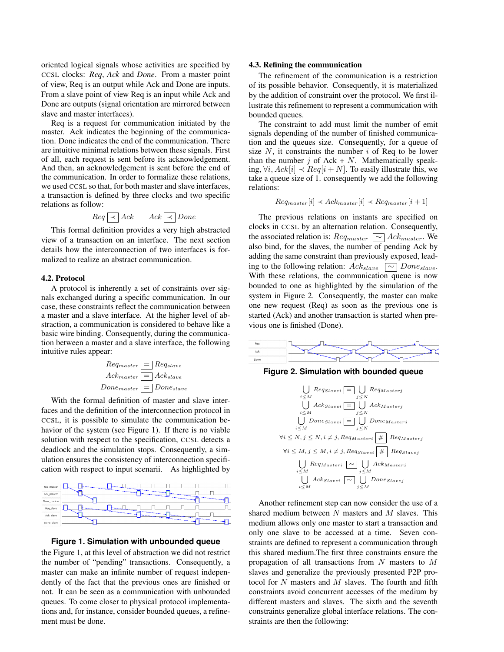oriented logical signals whose activities are specified by CCSL clocks: *Req*, *Ack* and *Done*. From a master point of view, Req is an output while Ack and Done are inputs. From a slave point of view Req is an input while Ack and Done are outputs (signal orientation are mirrored between slave and master interfaces).

Req is a request for communication initiated by the master. Ack indicates the beginning of the communication. Done indicates the end of the communication. There are intuitive minimal relations between these signals. First of all, each request is sent before its acknowledgement. And then, an acknowledgement is sent before the end of the communication. In order to formalize these relations, we used CCSL so that, for both master and slave interfaces, a transaction is defined by three clocks and two specific relations as follow:

$$
Req \sim \left[ \left. \begin{array}{c|c} \hline \end{array} \right| \left. \begin{array}{c} \hline \end{array} \right| \left. \begin{array}{c} \hline \end{array} \right| \left. \begin{array}{c} \hline \end{array} \right| \left. \begin{array}{c} \hline \end{array} \right| \left. \begin{array}{c} \hline \end{array} \right| \left. \begin{array}{c} \hline \end{array} \right| \left. \begin{array}{c} \hline \end{array} \right| \left. \begin{array}{c} \hline \end{array} \right| \left. \begin{array}{c} \hline \end{array} \right| \left. \begin{array}{c} \hline \end{array} \right| \left. \begin{array}{c} \hline \end{array} \right| \left. \begin{array}{c} \hline \end{array} \right| \left. \begin{array}{c} \hline \end{array} \right| \left. \begin{array}{c} \hline \end{array} \right| \left. \begin{array}{c} \hline \end{array} \right| \left. \begin{array}{c} \hline \end{array} \right| \left. \begin{array}{c} \hline \end{array} \right| \left. \begin{array}{c} \hline \end{array} \right| \left. \begin{array}{c} \hline \end{array} \right| \left. \begin{array}{c} \hline \end{array} \right| \left. \begin{array}{c} \hline \end{array} \right| \left. \begin{array} \hline \end{array} \right| \left. \begin{array} \hline \end{array} \right| \left. \begin{array} \hline \end{array} \right| \left. \begin{array} \hline \end{array} \right| \left. \begin{array} \hline \end{array} \right| \left. \begin{array} \hline \end{array} \right| \left. \begin{array} \hline \end{array} \right| \left. \begin{array} \hline \end{array} \right| \left. \begin{array} \hline \end{array} \right| \left. \begin{array} \hline \end{array} \right| \left. \begin{array} \hline \end{array} \right| \left. \begin{array} \hline \end{array} \right| \left. \begin{array} \hline \end{array} \right| \left. \begin{array} \hline \end{array} \right| \left. \begin{array} \hline \end{array} \right| \left.
$$

This formal definition provides a very high abstracted view of a transaction on an interface. The next section details how the interconnection of two interfaces is formalized to realize an abstract communication.

#### 4.2. Protocol

A protocol is inherently a set of constraints over signals exchanged during a specific communication. In our case, these constraints reflect the communication between a master and a slave interface. At the higher level of abstraction, a communication is considered to behave like a basic wire binding. Consequently, during the communication between a master and a slave interface, the following intuitive rules appear:

$$
Req_{master} \sqsubseteq \text{Re} q_{slave}
$$
\n
$$
Acknowled_{master} \sqsubseteq \text{Ack}_{slave}
$$
\n
$$
Done_{master} \sqsubseteq \text{Done}_{slave}
$$

With the formal definition of master and slave interfaces and the definition of the interconnection protocol in CCSL, it is possible to simulate the communication behavior of the system (see Figure 1). If there is no viable solution with respect to the specification, CCSL detects a deadlock and the simulation stops. Consequently, a simulation ensures the consistency of interconnection specification with respect to input scenarii. As highlighted by



#### **Figure 1. Simulation with unbounded queue**

the Figure 1, at this level of abstraction we did not restrict the number of "pending" transactions. Consequently, a master can make an infinite number of request independently of the fact that the previous ones are finished or not. It can be seen as a communication with unbounded queues. To come closer to physical protocol implementations and, for instance, consider bounded queues, a refinement must be done.

#### 4.3. Refining the communication

The refinement of the communication is a restriction of its possible behavior. Consequently, it is materialized by the addition of constraint over the protocol. We first illustrate this refinement to represent a communication with bounded queues.

The constraint to add must limit the number of emit signals depending of the number of finished communication and the queues size. Consequently, for a queue of size  $N$ , it constraints the number  $i$  of Req to be lower than the number j of Ack  $+ N$ . Mathematically speaking,  $\forall i, Ack[i] \prec Req[i+N]$ . To easily illustrate this, we take a queue size of 1. consequently we add the following relations:

$$
Req_{master}[i] \prec Ack_{master}[i] \prec Reg_{master}[i+1]
$$

The previous relations on instants are specified on clocks in CCSL by an alternation relation. Consequently, the associated relation is:  $Req_{master} \sim \Delta c k_{master}$ . We also bind, for the slaves, the number of pending Ack by adding the same constraint than previously exposed, leading to the following relation:  $Ack_{slave}$   $\boxed{\sim}$  Done<sub>slave</sub>. With these relations, the communication queue is now bounded to one as highlighted by the simulation of the system in Figure 2. Consequently, the master can make one new request (Req) as soon as the previous one is started (Ack) and another transaction is started when previous one is finished (Done).



**Figure 2. Simulation with bounded queue**



Another refinement step can now consider the use of a shared medium between  $N$  masters and  $M$  slaves. This medium allows only one master to start a transaction and only one slave to be accessed at a time. Seven constraints are defined to represent a communication through this shared medium.The first three constraints ensure the propagation of all transactions from N masters to M slaves and generalize the previously presented P2P protocol for N masters and M slaves. The fourth and fifth constraints avoid concurrent accesses of the medium by different masters and slaves. The sixth and the seventh constraints generalize global interface relations. The constraints are then the following: